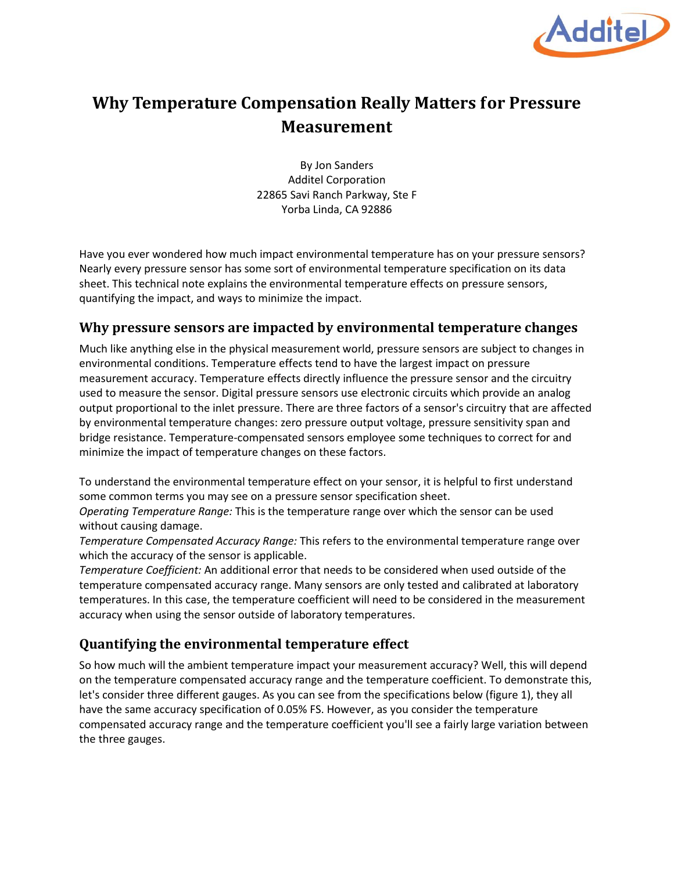

# **Why Temperature Compensation Really Matters for Pressure Measurement**

By Jon Sanders Additel Corporation 22865 Savi Ranch Parkway, Ste F Yorba Linda, CA 92886

Have you ever wondered how much impact environmental temperature has on your pressure sensors? Nearly every pressure sensor has some sort of environmental temperature specification on its data sheet. This technical note explains the environmental temperature effects on pressure sensors, quantifying the impact, and ways to minimize the impact.

#### **Why pressure sensors are impacted by environmental temperature changes**

Much like anything else in the physical measurement world, pressure sensors are subject to changes in environmental conditions. Temperature effects tend to have the largest impact on pressure measurement accuracy. Temperature effects directly influence the pressure sensor and the circuitry used to measure the sensor. Digital pressure sensors use electronic circuits which provide an analog output proportional to the inlet pressure. There are three factors of a sensor's circuitry that are affected by environmental temperature changes: zero pressure output voltage, pressure sensitivity span and bridge resistance. Temperature-compensated sensors employee some techniques to correct for and minimize the impact of temperature changes on these factors.

To understand the environmental temperature effect on your sensor, it is helpful to first understand some common terms you may see on a pressure sensor specification sheet.

*Operating Temperature Range:* This is the temperature range over which the sensor can be used without causing damage.

*Temperature Compensated Accuracy Range:* This refers to the environmental temperature range over which the accuracy of the sensor is applicable.

*Temperature Coefficient:* An additional error that needs to be considered when used outside of the temperature compensated accuracy range. Many sensors are only tested and calibrated at laboratory temperatures. In this case, the temperature coefficient will need to be considered in the measurement accuracy when using the sensor outside of laboratory temperatures.

## **Quantifying the environmental temperature effect**

So how much will the ambient temperature impact your measurement accuracy? Well, this will depend on the temperature compensated accuracy range and the temperature coefficient. To demonstrate this, let's consider three different gauges. As you can see from the specifications below (figure 1), they all have the same accuracy specification of 0.05% FS. However, as you consider the temperature compensated accuracy range and the temperature coefficient you'll see a fairly large variation between the three gauges.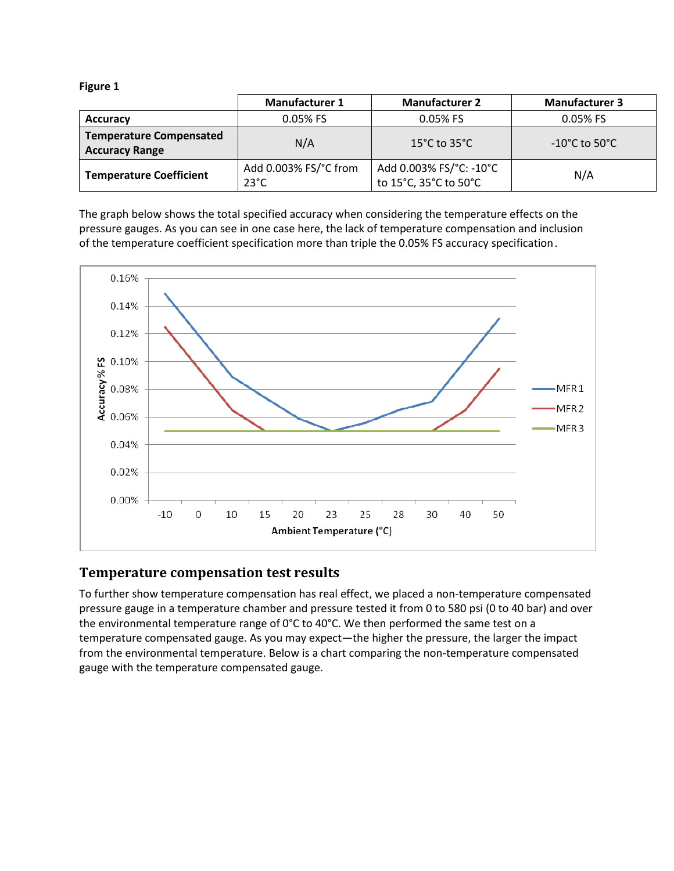| pur |  |
|-----|--|
|-----|--|

|                                                         | <b>Manufacturer 1</b>                   | <b>Manufacturer 2</b>                            | <b>Manufacturer 3</b>              |
|---------------------------------------------------------|-----------------------------------------|--------------------------------------------------|------------------------------------|
| <b>Accuracy</b>                                         | $0.05%$ FS                              | $0.05%$ FS                                       | $0.05%$ FS                         |
| <b>Temperature Compensated</b><br><b>Accuracy Range</b> | N/A                                     | 15 $^{\circ}$ C to 35 $^{\circ}$ C               | $-10^{\circ}$ C to 50 $^{\circ}$ C |
| <b>Temperature Coefficient</b>                          | Add 0.003% FS/°C from<br>$23^{\circ}$ C | Add 0.003% FS/°C: -10°C<br>to 15°C, 35°C to 50°C | N/A                                |

The graph below shows the total specified accuracy when considering the temperature effects on the pressure gauges. As you can see in one case here, the lack of temperature compensation and inclusion of the temperature coefficient specification more than triple the 0.05% FS accuracy specification.



#### **Temperature compensation test results**

To further show temperature compensation has real effect, we placed a non-temperature compensated pressure gauge in a temperature chamber and pressure tested it from 0 to 580 psi (0 to 40 bar) and over the environmental temperature range of  $0^{\circ}$ C to 40°C. We then performed the same test on a temperature compensated gauge. As you may expect—the higher the pressure, the larger the impact from the environmental temperature. Below is a chart comparing the non-temperature compensated gauge with the temperature compensated gauge.